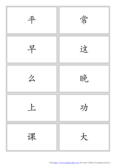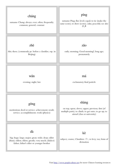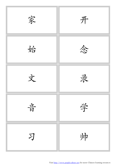

Visit http://www.purpleculture.net for more Chinese learning resources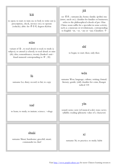| kāi<br>to open; to start; to turn on; to boil; to write out (a<br>prescription, check, invoice etc); to operate<br>(vehicle); abbr. for 开尔文 degrees Kelvin                                                           | jiā<br>see 家伙; surname Jia; home; family; (polite) my<br>(sister, uncle etc); classifier for families or businesses;<br>refers to the philosophical schools of pre-Han<br>China; noun suffix for a specialist in some activity,<br>such as a musician or revolutionary, corresponding<br>to English -ist, -er, -ary or -ian; Classifiers: 个 |
|----------------------------------------------------------------------------------------------------------------------------------------------------------------------------------------------------------------------|---------------------------------------------------------------------------------------------------------------------------------------------------------------------------------------------------------------------------------------------------------------------------------------------------------------------------------------------|
| niàn<br>variant of 念, to read aloud; to read; to study (a<br>subject); to attend (a school); to read aloud; to miss<br>(sb); idea; remembrance; twenty (banker's anti-<br>fraud numeral corresponding to $\pm$ , 20) | shĭ<br>to begin; to start; then; only then                                                                                                                                                                                                                                                                                                  |
| lù<br>surname Lu; diary; record; to hit; to copy                                                                                                                                                                     | wén<br>surname Wen; language; culture; writing; formal;<br>literary; gentle; (old) classifier for coins; Kangxi<br>radical 118                                                                                                                                                                                                              |
| xué<br>to learn; to study; to imitate; science; -ology                                                                                                                                                               | yīn<br>sound; noise; note (of musical scale); tone; news;<br>syllable; reading (phonetic value of a character)                                                                                                                                                                                                                              |
| shuài<br>surname Shuai; handsome; graceful; smart;<br>commander in chief                                                                                                                                             | XÍ<br>surname Xi; to practice; to study; habit                                                                                                                                                                                                                                                                                              |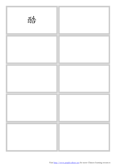| 酷 |  |
|---|--|
|   |  |
|   |  |
|   |  |
|   |  |